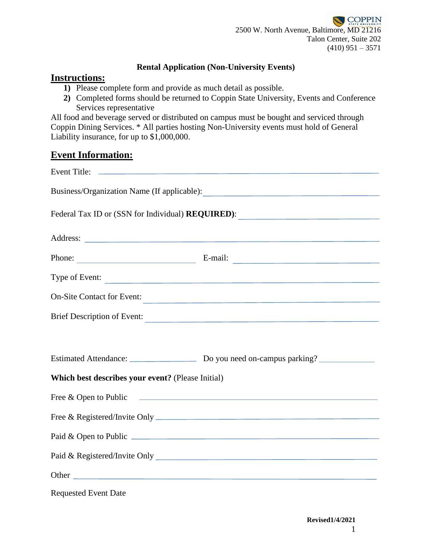## **Rental Application (Non-University Events)**

#### **Instructions:**

- **1)** Please complete form and provide as much detail as possible.
- **2)** Completed forms should be returned to Coppin State University, Events and Conference Services representative

All food and beverage served or distributed on campus must be bought and serviced through Coppin Dining Services. \* All parties hosting Non-University events must hold of General Liability insurance, for up to \$1,000,000.

## **Event Information:**

|                                                   | Phone: <u>E-mail:</u> E-mail:                                                                                                                                                                                                  |
|---------------------------------------------------|--------------------------------------------------------------------------------------------------------------------------------------------------------------------------------------------------------------------------------|
|                                                   | Type of Event:                                                                                                                                                                                                                 |
|                                                   | On-Site Contact for Event:                                                                                                                                                                                                     |
|                                                   | Brief Description of Event:                                                                                                                                                                                                    |
|                                                   |                                                                                                                                                                                                                                |
|                                                   |                                                                                                                                                                                                                                |
| Which best describes your event? (Please Initial) |                                                                                                                                                                                                                                |
|                                                   | Free & Open to Public 2000 and 2000 and 2000 and 2000 and 2000 and 2000 and 2000 and 2000 and 2000 and 2000 and 2000 and 2000 and 2000 and 2000 and 2000 and 2000 and 2000 and 2000 and 2000 and 2000 and 2000 and 2000 and 20 |
|                                                   |                                                                                                                                                                                                                                |
|                                                   |                                                                                                                                                                                                                                |
|                                                   | Paid & Registered/Invite Only Lease and Security and Security and Security and Security and Security and Security and Security and Security and Security and Security and Security and Security and Security and Security and  |
|                                                   |                                                                                                                                                                                                                                |
| <b>Requested Event Date</b>                       |                                                                                                                                                                                                                                |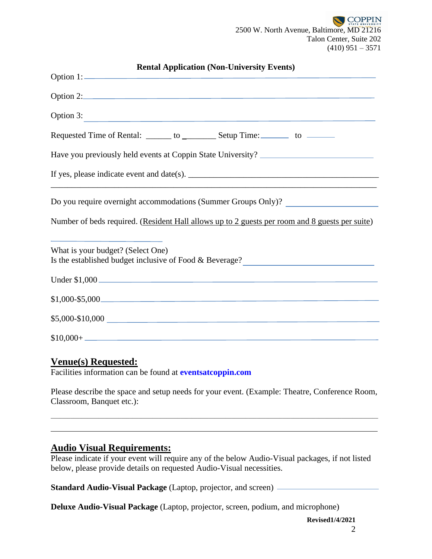:OPPIN 2500 W. North Avenue, Baltimore, MD 21216 Talon Center, Suite 202  $(410)$  951 – 3571

| <b>Rental Application (Non-University Events)</b>                                                                                                                     |  |  |
|-----------------------------------------------------------------------------------------------------------------------------------------------------------------------|--|--|
| Option 1:                                                                                                                                                             |  |  |
| Option 2:                                                                                                                                                             |  |  |
| Option 3:                                                                                                                                                             |  |  |
|                                                                                                                                                                       |  |  |
| Have you previously held events at Coppin State University? _____________________                                                                                     |  |  |
|                                                                                                                                                                       |  |  |
| ,我们也不能在这里的时候,我们也不能在这里的时候,我们也不能会在这里的时候,我们也不能会在这里的时候,我们也不能会在这里的时候,我们也不能会在这里的时候,我们也不<br>Do you require overnight accommodations (Summer Groups Only)? __________________ |  |  |
| Number of beds required. (Resident Hall allows up to 2 guests per room and 8 guests per suite)                                                                        |  |  |
| <u> 1989 - Johann Stein, mars an de Frankrik (f. 1989)</u><br>What is your budget? (Select One)<br>Is the established budget inclusive of Food & Beverage?            |  |  |
| Under \$1,000                                                                                                                                                         |  |  |
| $$1,000-$5,000$                                                                                                                                                       |  |  |
|                                                                                                                                                                       |  |  |
|                                                                                                                                                                       |  |  |

## **Venue(s) Requested:**

Facilities information can be found at **eventsatcoppin.com**

Please describe the space and setup needs for your event. (Example: Theatre, Conference Room, Classroom, Banquet etc.):

\_\_\_\_\_\_\_\_\_\_\_\_\_\_\_\_\_\_\_\_\_\_\_\_\_\_\_\_\_\_\_\_\_\_\_\_\_\_\_\_\_\_\_\_\_\_\_\_\_\_\_\_\_\_\_\_\_\_\_\_\_\_\_\_\_\_\_\_\_\_\_\_\_\_\_\_\_\_\_\_\_\_\_\_\_\_\_\_\_\_\_\_\_\_\_\_\_\_\_\_\_\_\_\_\_\_\_\_\_\_\_\_\_\_\_\_

# **Audio Visual Requirements:**

Please indicate if your event will require any of the below Audio-Visual packages, if not listed below, please provide details on requested Audio-Visual necessities.

**Standard Audio-Visual Package** (Laptop, projector, and screen) –

**Deluxe Audio-Visual Package** (Laptop, projector, screen, podium, and microphone)

**Revised1/4/2021**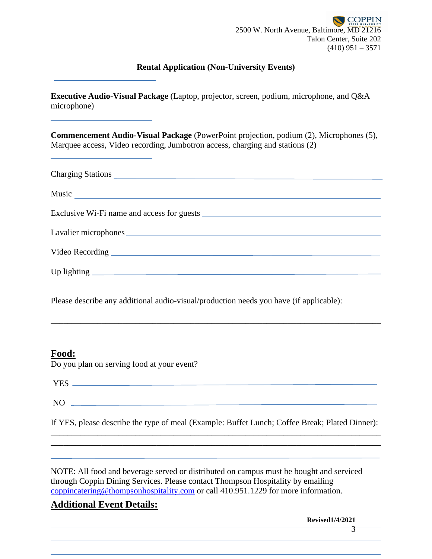#### **Rental Application (Non-University Events)**

**Executive Audio-Visual Package** (Laptop, projector, screen, podium, microphone, and Q&A microphone)

**Commencement Audio-Visual Package** (PowerPoint projection, podium (2), Microphones (5), Marquee access, Video recording, Jumbotron access, charging and stations (2)

Please describe any additional audio-visual/production needs you have (if applicable):

#### **Food:**

Do you plan on serving food at your event?

| . .<br>$\overline{\phantom{a}}$ |  |
|---------------------------------|--|
| -<br>___                        |  |

 $NO$   $\qquad$ 

\_\_\_\_\_\_\_\_\_\_\_\_\_\_\_\_\_\_\_\_\_\_\_\_\_\_\_\_\_\_\_\_\_\_\_\_\_\_\_\_\_\_\_\_\_\_\_\_\_\_\_\_\_\_\_\_\_\_\_\_\_\_\_\_\_\_\_\_\_\_\_\_\_\_\_\_\_\_

\_\_\_\_\_\_\_\_\_\_\_\_\_\_\_\_\_\_\_\_\_\_\_\_\_\_\_\_\_\_\_\_\_\_\_\_\_\_\_\_\_\_\_\_\_\_\_\_\_\_\_\_\_\_\_\_\_\_\_\_\_\_\_\_\_\_\_\_\_\_\_\_\_\_\_\_\_\_\_\_\_\_\_\_\_\_\_\_\_\_\_\_\_\_\_\_\_\_\_\_\_\_\_\_\_\_\_\_\_\_\_\_\_\_\_\_\_

If YES, please describe the type of meal (Example: Buffet Lunch; Coffee Break; Plated Dinner): \_\_\_\_\_\_\_\_\_\_\_\_\_\_\_\_\_\_\_\_\_\_\_\_\_\_\_\_\_\_\_\_\_\_\_\_\_\_\_\_\_\_\_\_\_\_\_\_\_\_\_\_\_\_\_\_\_\_\_\_\_\_\_\_\_\_\_\_\_\_\_\_\_\_\_\_\_\_

NOTE: All food and beverage served or distributed on campus must be bought and serviced through Coppin Dining Services. Please contact Thompson Hospitality by emailing [coppincatering@thompsonhospitality.com](mailto:coppincatering@thompsonhospitality.com) or call 410.951.1229 for more information.

# **Additional Event Details:**

**Revised1/4/2021** 3